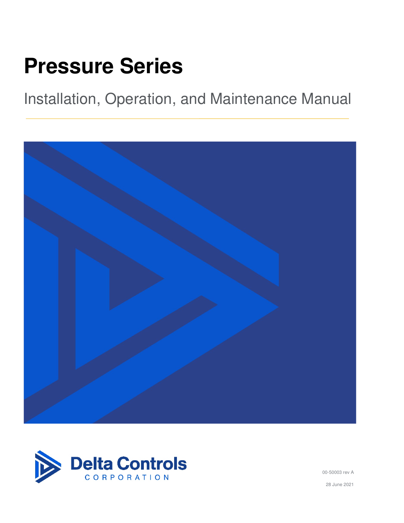# Pressure Series

Installation, Operation, and Maintenance Manual





00-50003 rev A

28 June 2021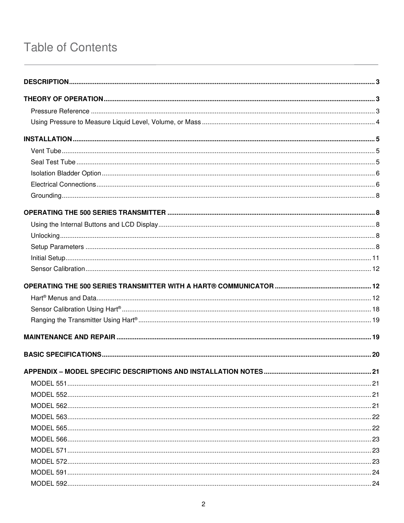# **Table of Contents**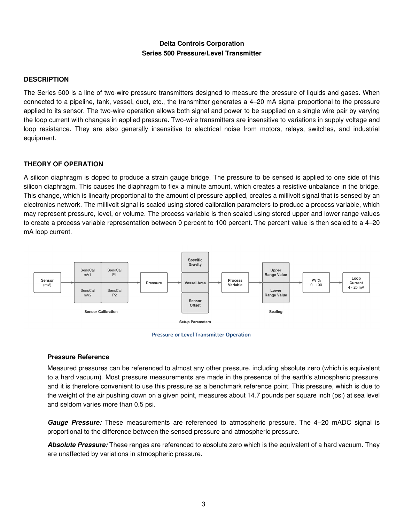# Delta Controls Corporation Series 500 Pressure/Level Transmitter

#### <span id="page-2-0"></span>**DESCRIPTION**

The Series 500 is a line of two-wire pressure transmitters designed to measure the pressure of liquids and gases. When connected to a pipeline, tank, vessel, duct, etc., the transmitter generates a 4–20 mA signal proportional to the pressure applied to its sensor. The two-wire operation allows both signal and power to be supplied on a single wire pair by varying the loop current with changes in applied pressure. Two-wire transmitters are insensitive to variations in supply voltage and loop resistance. They are also generally insensitive to electrical noise from motors, relays, switches, and industrial equipment.

#### <span id="page-2-1"></span>THEORY OF OPERATION

A silicon diaphragm is doped to produce a strain gauge bridge. The pressure to be sensed is applied to one side of this silicon diaphragm. This causes the diaphragm to flex a minute amount, which creates a resistive unbalance in the bridge. This change, which is linearly proportional to the amount of pressure applied, creates a millivolt signal that is sensed by an electronics network. The millivolt signal is scaled using stored calibration parameters to produce a process variable, which may represent pressure, level, or volume. The process variable is then scaled using stored upper and lower range values to create a process variable representation between 0 percent to 100 percent. The percent value is then scaled to a 4–20 mA loop current.





#### <span id="page-2-2"></span>Pressure Reference

Measured pressures can be referenced to almost any other pressure, including absolute zero (which is equivalent to a hard vacuum). Most pressure measurements are made in the presence of the earth's atmospheric pressure, and it is therefore convenient to use this pressure as a benchmark reference point. This pressure, which is due to the weight of the air pushing down on a given point, measures about 14.7 pounds per square inch (psi) at sea level and seldom varies more than 0.5 psi.

*Gauge Pressure:* These measurements are referenced to atmospheric pressure. The 4–20 mADC signal is proportional to the difference between the sensed pressure and atmospheric pressure.

*Absolute Pressure:* These ranges are referenced to absolute zero which is the equivalent of a hard vacuum. They are unaffected by variations in atmospheric pressure.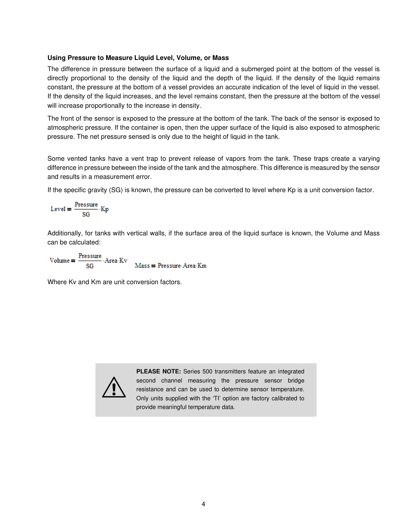#### <span id="page-3-0"></span>Using Pressure to Measure Liquid Level, Volume, or Mass

The difference in pressure between the surface of a liquid and a submerged point at the bottom of the vessel is directly proportional to the density of the liquid and the depth of the liquid. If the density of the liquid remains constant, the pressure at the bottom of a vessel provides an accurate indication of the level of liquid in the vessel. If the density of the liquid increases, and the level remains constant, then the pressure at the bottom of the vessel will increase proportionally to the increase in density.

The front of the sensor is exposed to the pressure at the bottom of the tank. The back of the sensor is exposed to atmospheric pressure. If the container is open, then the upper surface of the liquid is also exposed to atmospheric pressure. The net pressure sensed is only due to the height of liquid in the tank.

Some vented tanks have a vent trap to prevent release of vapors from the tank. These traps create a varying difference in pressure between the inside of the tank and the atmosphere. This difference is measured by the sensor and results in a measurement error.

If the specific gravity (SG) is known, the pressure can be converted to level where Kp is a unit conversion factor.

$$
Level = \frac{Pressure}{SG} \cdot Kp
$$

Additionally, for tanks with vertical walls, if the surface area of the liquid surface is known, the Volume and Mass can be calculated:

 $Volume = \frac{Pressure}{SG} \cdot Area \cdot Kv$  $Mass = Pressure-Area$ - $Km$ 

Where Kv and Km are unit conversion factors.



PLEASE NOTE: Series 500 transmitters feature an integrated second channel measuring the pressure sensor bridge resistance and can be used to determine sensor temperature. Only units supplied with the 'TI' option are factory calibrated to provide meaningful temperature data.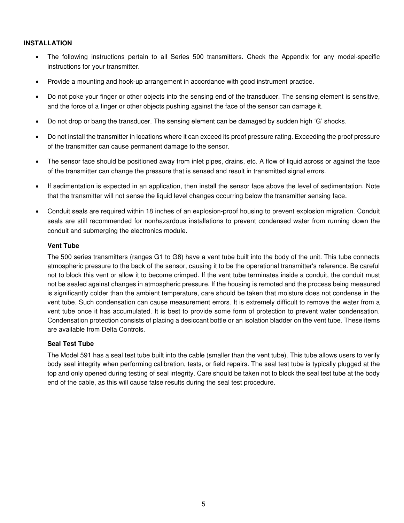#### <span id="page-4-0"></span>INSTALLATION

- The following instructions pertain to all Series 500 transmitters. Check the Appendix for any model-specific instructions for your transmitter.
- Provide a mounting and hook-up arrangement in accordance with good instrument practice.
- Do not poke your finger or other objects into the sensing end of the transducer. The sensing element is sensitive, and the force of a finger or other objects pushing against the face of the sensor can damage it.
- Do not drop or bang the transducer. The sensing element can be damaged by sudden high 'G' shocks.
- Do not install the transmitter in locations where it can exceed its proof pressure rating. Exceeding the proof pressure of the transmitter can cause permanent damage to the sensor.
- The sensor face should be positioned away from inlet pipes, drains, etc. A flow of liquid across or against the face of the transmitter can change the pressure that is sensed and result in transmitted signal errors.
- If sedimentation is expected in an application, then install the sensor face above the level of sedimentation. Note that the transmitter will not sense the liquid level changes occurring below the transmitter sensing face.
- Conduit seals are required within 18 inches of an explosion-proof housing to prevent explosion migration. Conduit seals are still recommended for nonhazardous installations to prevent condensed water from running down the conduit and submerging the electronics module.

#### <span id="page-4-1"></span>Vent Tube

The 500 series transmitters (ranges G1 to G8) have a vent tube built into the body of the unit. This tube connects atmospheric pressure to the back of the sensor, causing it to be the operational transmitter's reference. Be careful not to block this vent or allow it to become crimped. If the vent tube terminates inside a conduit, the conduit must not be sealed against changes in atmospheric pressure. If the housing is remoted and the process being measured is significantly colder than the ambient temperature, care should be taken that moisture does not condense in the vent tube. Such condensation can cause measurement errors. It is extremely difficult to remove the water from a vent tube once it has accumulated. It is best to provide some form of protection to prevent water condensation. Condensation protection consists of placing a desiccant bottle or an isolation bladder on the vent tube. These items are available from Delta Controls.

#### <span id="page-4-2"></span>Seal Test Tube

The Model 591 has a seal test tube built into the cable (smaller than the vent tube). This tube allows users to verify body seal integrity when performing calibration, tests, or field repairs. The seal test tube is typically plugged at the top and only opened during testing of seal integrity. Care should be taken not to block the seal test tube at the body end of the cable, as this will cause false results during the seal test procedure.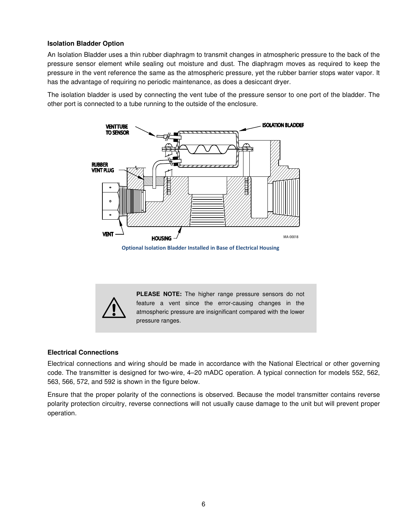#### <span id="page-5-0"></span>Isolation Bladder Option

An Isolation Bladder uses a thin rubber diaphragm to transmit changes in atmospheric pressure to the back of the pressure sensor element while sealing out moisture and dust. The diaphragm moves as required to keep the pressure in the vent reference the same as the atmospheric pressure, yet the rubber barrier stops water vapor. It has the advantage of requiring no periodic maintenance, as does a desiccant dryer.

The isolation bladder is used by connecting the vent tube of the pressure sensor to one port of the bladder. The other port is connected to a tube running to the outside of the enclosure.



**Optional Isolation Bladder Installed in Base of Electrical Housing**

PLEASE NOTE: The higher range pressure sensors do not feature a vent since the error-causing changes in the atmospheric pressure are insignificant compared with the lower pressure ranges.

#### <span id="page-5-1"></span>Electrical Connections

 $\triangle$ 

Electrical connections and wiring should be made in accordance with the National Electrical or other governing code. The transmitter is designed for two-wire, 4–20 mADC operation. A typical connection for models 552, 562, 563, 566, 572, and 592 is shown in the figure below.

Ensure that the proper polarity of the connections is observed. Because the model transmitter contains reverse polarity protection circuitry, reverse connections will not usually cause damage to the unit but will prevent proper operation.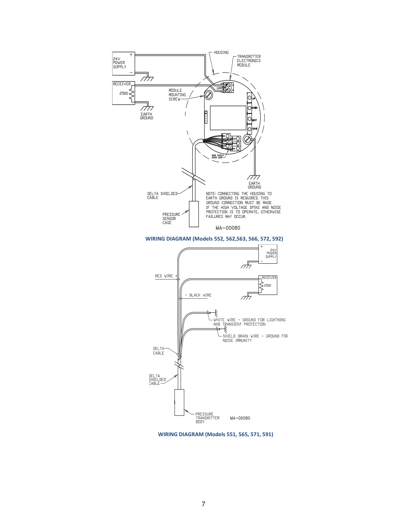

**WIRING DIAGRAM (Models 552, 562,563, 566, 572, 592)**



**WIRING DIAGRAM (Models 551, 565, 571, 591)**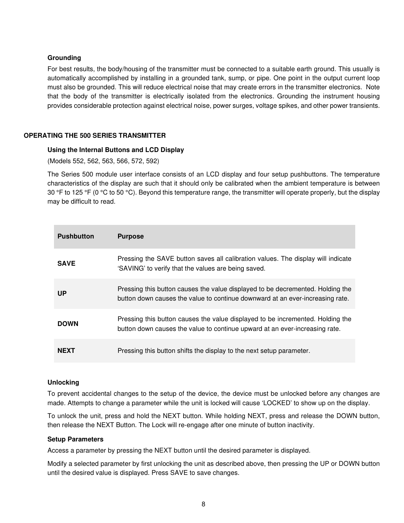#### <span id="page-7-0"></span>Grounding

For best results, the body/housing of the transmitter must be connected to a suitable earth ground. This usually is automatically accomplished by installing in a grounded tank, sump, or pipe. One point in the output current loop must also be grounded. This will reduce electrical noise that may create errors in the transmitter electronics. Note that the body of the transmitter is electrically isolated from the electronics. Grounding the instrument housing provides considerable protection against electrical noise, power surges, voltage spikes, and other power transients.

#### <span id="page-7-2"></span><span id="page-7-1"></span>OPERATING THE 500 SERIES TRANSMITTER

#### Using the Internal Buttons and LCD Display

(Models 552, 562, 563, 566, 572, 592)

The Series 500 module user interface consists of an LCD display and four setup pushbuttons. The temperature characteristics of the display are such that it should only be calibrated when the ambient temperature is between 30 °F to 125 °F (0 °C to 50 °C). Beyond this temperature range, the transmitter will operate properly, but the display may be difficult to read.

| <b>Pushbutton</b> | <b>Purpose</b>                                                                                                                                                  |
|-------------------|-----------------------------------------------------------------------------------------------------------------------------------------------------------------|
| <b>SAVE</b>       | Pressing the SAVE button saves all calibration values. The display will indicate<br>'SAVING' to verify that the values are being saved.                         |
| <b>UP</b>         | Pressing this button causes the value displayed to be decremented. Holding the<br>button down causes the value to continue downward at an ever-increasing rate. |
| <b>DOWN</b>       | Pressing this button causes the value displayed to be incremented. Holding the<br>button down causes the value to continue upward at an ever-increasing rate.   |
| <b>NEXT</b>       | Pressing this button shifts the display to the next setup parameter.                                                                                            |

#### <span id="page-7-3"></span>Unlocking

To prevent accidental changes to the setup of the device, the device must be unlocked before any changes are made. Attempts to change a parameter while the unit is locked will cause 'LOCKED' to show up on the display.

To unlock the unit, press and hold the NEXT button. While holding NEXT, press and release the DOWN button, then release the NEXT Button. The Lock will re-engage after one minute of button inactivity.

#### <span id="page-7-4"></span>Setup Parameters

Access a parameter by pressing the NEXT button until the desired parameter is displayed.

Modify a selected parameter by first unlocking the unit as described above, then pressing the UP or DOWN button until the desired value is displayed. Press SAVE to save changes.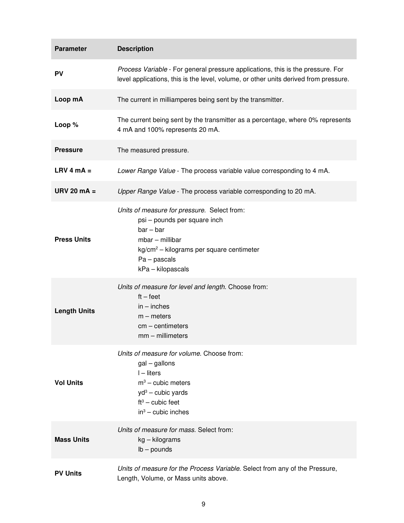| <b>Parameter</b>    | <b>Description</b>                                                                                                                                                                                   |
|---------------------|------------------------------------------------------------------------------------------------------------------------------------------------------------------------------------------------------|
| <b>PV</b>           | Process Variable - For general pressure applications, this is the pressure. For<br>level applications, this is the level, volume, or other units derived from pressure.                              |
| Loop mA             | The current in milliamperes being sent by the transmitter.                                                                                                                                           |
| Loop %              | The current being sent by the transmitter as a percentage, where 0% represents<br>4 mA and 100% represents 20 mA.                                                                                    |
| <b>Pressure</b>     | The measured pressure.                                                                                                                                                                               |
| $LRV$ 4 mA =        | Lower Range Value - The process variable value corresponding to 4 mA.                                                                                                                                |
| URV 20 $mA =$       | Upper Range Value - The process variable corresponding to 20 mA.                                                                                                                                     |
| <b>Press Units</b>  | Units of measure for pressure. Select from:<br>psi - pounds per square inch<br>$bar - bar$<br>$mbar$ – millibar<br>$kg/cm2 - kilograms per square centimeter$<br>$Pa$ – pascals<br>kPa - kilopascals |
| <b>Length Units</b> | Units of measure for level and length. Choose from:<br>$ft - feet$<br>$in - inches$<br>$m$ – meters<br>$cm$ – centimeters<br>$mm - millimeters$                                                      |
| <b>Vol Units</b>    | Units of measure for volume. Choose from:<br>$gal-gallons$<br>$I$ – liters<br>$m3$ – cubic meters<br>$yd^3$ – cubic yards<br>$ft3$ – cubic feet<br>$in^3$ – cubic inches                             |
| <b>Mass Units</b>   | Units of measure for mass. Select from:<br>kg – kilograms<br>$lb - pounds$                                                                                                                           |
| <b>PV Units</b>     | Units of measure for the Process Variable. Select from any of the Pressure,<br>Length, Volume, or Mass units above.                                                                                  |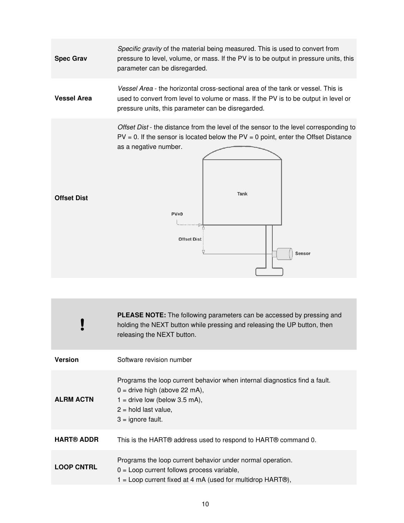

| <b>PLEASE NOTE:</b> The following parameters can be accessed by pressing and<br>holding the NEXT button while pressing and releasing the UP button, then<br>releasing the NEXT button.            |
|---------------------------------------------------------------------------------------------------------------------------------------------------------------------------------------------------|
| Software revision number                                                                                                                                                                          |
| Programs the loop current behavior when internal diagnostics find a fault.<br>$0 =$ drive high (above 22 mA),<br>$1 =$ drive low (below 3.5 mA),<br>$2 =$ hold last value,<br>$3 =$ ignore fault. |
| This is the HART® address used to respond to HART® command 0.                                                                                                                                     |
| Programs the loop current behavior under normal operation.<br>$0 =$ Loop current follows process variable,<br>$1 =$ Loop current fixed at 4 mA (used for multidrop HART $\circledR$ ),            |
|                                                                                                                                                                                                   |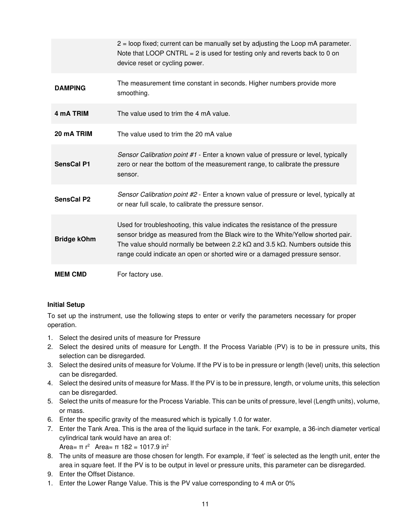|                        | 2 = loop fixed; current can be manually set by adjusting the Loop mA parameter.<br>Note that LOOP CNTRL = $2$ is used for testing only and reverts back to 0 on<br>device reset or cycling power.                                                                                                                                               |
|------------------------|-------------------------------------------------------------------------------------------------------------------------------------------------------------------------------------------------------------------------------------------------------------------------------------------------------------------------------------------------|
| <b>DAMPING</b>         | The measurement time constant in seconds. Higher numbers provide more<br>smoothing.                                                                                                                                                                                                                                                             |
| 4 mA TRIM              | The value used to trim the 4 mA value.                                                                                                                                                                                                                                                                                                          |
| 20 mA TRIM             | The value used to trim the 20 mA value                                                                                                                                                                                                                                                                                                          |
| <b>SensCal P1</b>      | Sensor Calibration point #1 - Enter a known value of pressure or level, typically<br>zero or near the bottom of the measurement range, to calibrate the pressure<br>sensor.                                                                                                                                                                     |
| SensCal P <sub>2</sub> | Sensor Calibration point #2 - Enter a known value of pressure or level, typically at<br>or near full scale, to calibrate the pressure sensor.                                                                                                                                                                                                   |
| <b>Bridge kOhm</b>     | Used for troubleshooting, this value indicates the resistance of the pressure<br>sensor bridge as measured from the Black wire to the White/Yellow shorted pair.<br>The value should normally be between 2.2 k $\Omega$ and 3.5 k $\Omega$ . Numbers outside this<br>range could indicate an open or shorted wire or a damaged pressure sensor. |
| <b>MEM CMD</b>         | For factory use.                                                                                                                                                                                                                                                                                                                                |

# <span id="page-10-0"></span>Initial Setup

To set up the instrument, use the following steps to enter or verify the parameters necessary for proper operation.

- 1. Select the desired units of measure for Pressure
- 2. Select the desired units of measure for Length. If the Process Variable (PV) is to be in pressure units, this selection can be disregarded.
- 3. Select the desired units of measure for Volume. If the PV is to be in pressure or length (level) units, this selection can be disregarded.
- 4. Select the desired units of measure for Mass. If the PV is to be in pressure, length, or volume units, this selection can be disregarded.
- 5. Select the units of measure for the Process Variable. This can be units of pressure, level (Length units), volume, or mass.
- 6. Enter the specific gravity of the measured which is typically 1.0 for water.
- 7. Enter the Tank Area. This is the area of the liquid surface in the tank. For example, a 36-inch diameter vertical cylindrical tank would have an area of:

Area=  $π r<sup>2</sup>$  Area=  $π 182 = 1017.9$  in<sup>2</sup>

- 8. The units of measure are those chosen for length. For example, if 'feet' is selected as the length unit, enter the area in square feet. If the PV is to be output in level or pressure units, this parameter can be disregarded.
- 9. Enter the Offset Distance.
- 1. Enter the Lower Range Value. This is the PV value corresponding to 4 mA or 0%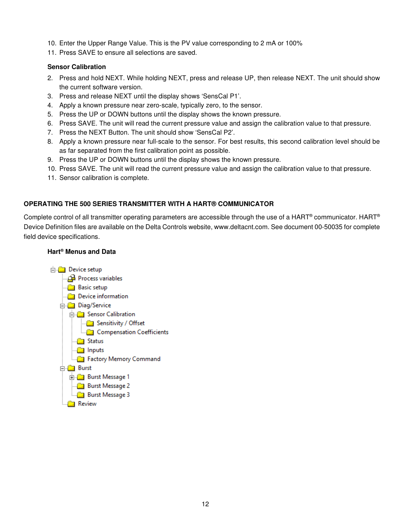- 10. Enter the Upper Range Value. This is the PV value corresponding to 2 mA or 100%
- 11. Press SAVE to ensure all selections are saved.

#### <span id="page-11-0"></span>Sensor Calibration

- 2. Press and hold NEXT. While holding NEXT, press and release UP, then release NEXT. The unit should show the current software version.
- 3. Press and release NEXT until the display shows 'SensCal P1'.
- 4. Apply a known pressure near zero-scale, typically zero, to the sensor.
- 5. Press the UP or DOWN buttons until the display shows the known pressure.
- 6. Press SAVE. The unit will read the current pressure value and assign the calibration value to that pressure.
- 7. Press the NEXT Button. The unit should show 'SensCal P2'.
- 8. Apply a known pressure near full-scale to the sensor. For best results, this second calibration level should be as far separated from the first calibration point as possible.
- 9. Press the UP or DOWN buttons until the display shows the known pressure.
- 10. Press SAVE. The unit will read the current pressure value and assign the calibration value to that pressure.
- 11. Sensor calibration is complete.

#### <span id="page-11-1"></span>OPERATING THE 500 SERIES TRANSMITTER WITH A HART® COMMUNICATOR

Complete control of all transmitter operating parameters are accessible through the use of a HART® communicator. HART® Device Definition files are available on the Delta Controls website, www.deltacnt.com. See document 00-50035 for complete field device specifications.

#### <span id="page-11-2"></span>Hart® Menus and Data

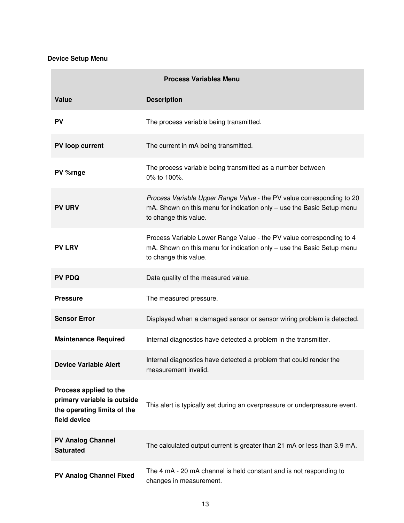#### Device Setup Menu

**College** 

| <b>Process Variables Menu</b>                                                                        |                                                                                                                                                                         |
|------------------------------------------------------------------------------------------------------|-------------------------------------------------------------------------------------------------------------------------------------------------------------------------|
| Value                                                                                                | <b>Description</b>                                                                                                                                                      |
| <b>PV</b>                                                                                            | The process variable being transmitted.                                                                                                                                 |
| PV loop current                                                                                      | The current in mA being transmitted.                                                                                                                                    |
| PV %rnge                                                                                             | The process variable being transmitted as a number between<br>0% to 100%.                                                                                               |
| <b>PV URV</b>                                                                                        | Process Variable Upper Range Value - the PV value corresponding to 20<br>mA. Shown on this menu for indication only - use the Basic Setup menu<br>to change this value. |
| <b>PV LRV</b>                                                                                        | Process Variable Lower Range Value - the PV value corresponding to 4<br>mA. Shown on this menu for indication only - use the Basic Setup menu<br>to change this value.  |
| <b>PV PDQ</b>                                                                                        | Data quality of the measured value.                                                                                                                                     |
| <b>Pressure</b>                                                                                      | The measured pressure.                                                                                                                                                  |
| <b>Sensor Error</b>                                                                                  | Displayed when a damaged sensor or sensor wiring problem is detected.                                                                                                   |
| <b>Maintenance Required</b>                                                                          | Internal diagnostics have detected a problem in the transmitter.                                                                                                        |
| <b>Device Variable Alert</b>                                                                         | Internal diagnostics have detected a problem that could render the<br>measurement invalid.                                                                              |
| Process applied to the<br>primary variable is outside<br>the operating limits of the<br>field device | This alert is typically set during an overpressure or underpressure event.                                                                                              |
| <b>PV Analog Channel</b><br><b>Saturated</b>                                                         | The calculated output current is greater than 21 mA or less than 3.9 mA.                                                                                                |
| <b>PV Analog Channel Fixed</b>                                                                       | The 4 mA - 20 mA channel is held constant and is not responding to<br>changes in measurement.                                                                           |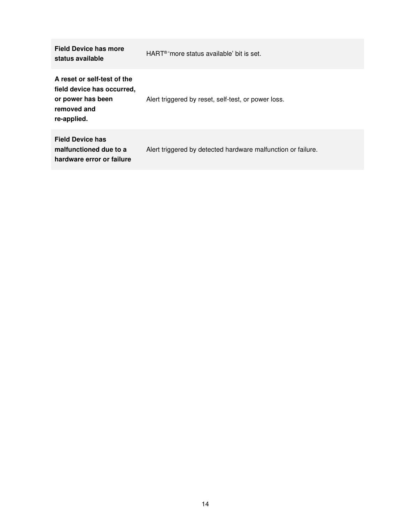| <b>Field Device has more</b><br>status available                                                             | HART <sup>®</sup> 'more status available' bit is set.        |
|--------------------------------------------------------------------------------------------------------------|--------------------------------------------------------------|
| A reset or self-test of the<br>field device has occurred,<br>or power has been<br>removed and<br>re-applied. | Alert triggered by reset, self-test, or power loss.          |
| <b>Field Device has</b><br>malfunctioned due to a<br>hardware error or failure                               | Alert triggered by detected hardware malfunction or failure. |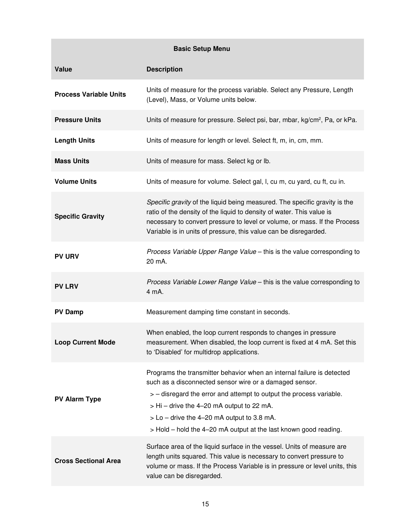|                               | <b>Basic Setup Menu</b>                                                                                                                                                                                                                                                                                                                                                     |
|-------------------------------|-----------------------------------------------------------------------------------------------------------------------------------------------------------------------------------------------------------------------------------------------------------------------------------------------------------------------------------------------------------------------------|
| Value                         | <b>Description</b>                                                                                                                                                                                                                                                                                                                                                          |
| <b>Process Variable Units</b> | Units of measure for the process variable. Select any Pressure, Length<br>(Level), Mass, or Volume units below.                                                                                                                                                                                                                                                             |
| <b>Pressure Units</b>         | Units of measure for pressure. Select psi, bar, mbar, kg/cm <sup>2</sup> , Pa, or kPa.                                                                                                                                                                                                                                                                                      |
| <b>Length Units</b>           | Units of measure for length or level. Select ft, m, in, cm, mm.                                                                                                                                                                                                                                                                                                             |
| <b>Mass Units</b>             | Units of measure for mass. Select kg or lb.                                                                                                                                                                                                                                                                                                                                 |
| <b>Volume Units</b>           | Units of measure for volume. Select gal, I, cu m, cu yard, cu ft, cu in.                                                                                                                                                                                                                                                                                                    |
| <b>Specific Gravity</b>       | Specific gravity of the liquid being measured. The specific gravity is the<br>ratio of the density of the liquid to density of water. This value is<br>necessary to convert pressure to level or volume, or mass. If the Process<br>Variable is in units of pressure, this value can be disregarded.                                                                        |
| <b>PV URV</b>                 | Process Variable Upper Range Value - this is the value corresponding to<br>20 mA.                                                                                                                                                                                                                                                                                           |
| <b>PV LRV</b>                 | Process Variable Lower Range Value - this is the value corresponding to<br>4 mA.                                                                                                                                                                                                                                                                                            |
| <b>PV Damp</b>                | Measurement damping time constant in seconds.                                                                                                                                                                                                                                                                                                                               |
| <b>Loop Current Mode</b>      | When enabled, the loop current responds to changes in pressure<br>measurement. When disabled, the loop current is fixed at 4 mA. Set this<br>to 'Disabled' for multidrop applications.                                                                                                                                                                                      |
| <b>PV Alarm Type</b>          | Programs the transmitter behavior when an internal failure is detected<br>such as a disconnected sensor wire or a damaged sensor.<br>> – disregard the error and attempt to output the process variable.<br>$>$ Hi – drive the 4–20 mA output to 22 mA.<br>$>$ Lo – drive the 4–20 mA output to 3.8 mA.<br>> Hold - hold the 4-20 mA output at the last known good reading. |
| <b>Cross Sectional Area</b>   | Surface area of the liquid surface in the vessel. Units of measure are<br>length units squared. This value is necessary to convert pressure to<br>volume or mass. If the Process Variable is in pressure or level units, this<br>value can be disregarded.                                                                                                                  |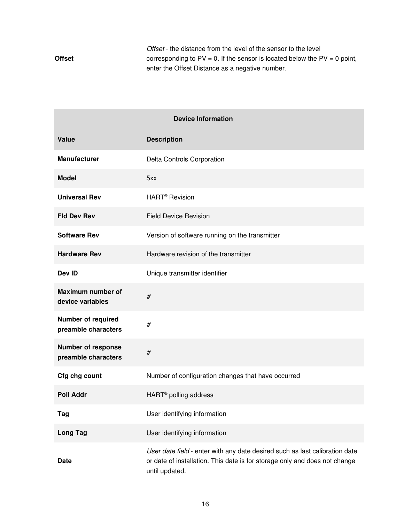**Offset** *Offset* - the distance from the level of the sensor to the level corresponding to  $PV = 0$ . If the sensor is located below the  $PV = 0$  point, enter the Offset Distance as a negative number.

| <b>Device Information</b>                        |                                                                                                                                                                             |
|--------------------------------------------------|-----------------------------------------------------------------------------------------------------------------------------------------------------------------------------|
| Value                                            | <b>Description</b>                                                                                                                                                          |
| <b>Manufacturer</b>                              | Delta Controls Corporation                                                                                                                                                  |
| <b>Model</b>                                     | 5xx                                                                                                                                                                         |
| <b>Universal Rev</b>                             | HART <sup>®</sup> Revision                                                                                                                                                  |
| <b>Fld Dev Rev</b>                               | <b>Field Device Revision</b>                                                                                                                                                |
| <b>Software Rev</b>                              | Version of software running on the transmitter                                                                                                                              |
| <b>Hardware Rev</b>                              | Hardware revision of the transmitter                                                                                                                                        |
| Dev ID                                           | Unique transmitter identifier                                                                                                                                               |
| Maximum number of<br>device variables            | $\#$                                                                                                                                                                        |
| <b>Number of required</b><br>preamble characters | $\#$                                                                                                                                                                        |
| <b>Number of response</b><br>preamble characters | $\#$                                                                                                                                                                        |
| Cfg chg count                                    | Number of configuration changes that have occurred                                                                                                                          |
| <b>Poll Addr</b>                                 | HART <sup>®</sup> polling address                                                                                                                                           |
| Tag                                              | User identifying information                                                                                                                                                |
| <b>Long Tag</b>                                  | User identifying information                                                                                                                                                |
| <b>Date</b>                                      | User date field - enter with any date desired such as last calibration date<br>or date of installation. This date is for storage only and does not change<br>until updated. |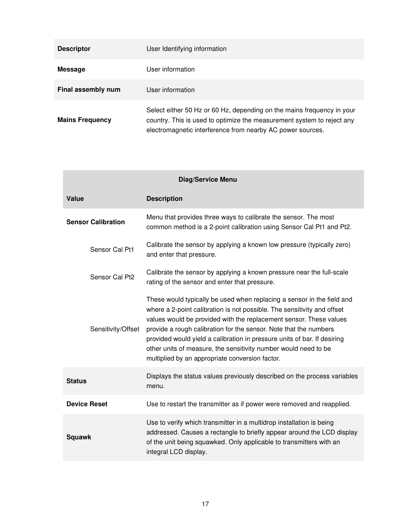| <b>Descriptor</b>      | User Identifying information                                                                                                                                                                                   |
|------------------------|----------------------------------------------------------------------------------------------------------------------------------------------------------------------------------------------------------------|
| Message                | User information                                                                                                                                                                                               |
| Final assembly num     | User information                                                                                                                                                                                               |
| <b>Mains Frequency</b> | Select either 50 Hz or 60 Hz, depending on the mains frequency in your<br>country. This is used to optimize the measurement system to reject any<br>electromagnetic interference from nearby AC power sources. |

| Diag/Service Menu          |                                                                                                                                                                                                                                                                                                                                                                                                                                                                                                |  |
|----------------------------|------------------------------------------------------------------------------------------------------------------------------------------------------------------------------------------------------------------------------------------------------------------------------------------------------------------------------------------------------------------------------------------------------------------------------------------------------------------------------------------------|--|
| Value                      | <b>Description</b>                                                                                                                                                                                                                                                                                                                                                                                                                                                                             |  |
| <b>Sensor Calibration</b>  | Menu that provides three ways to calibrate the sensor. The most<br>common method is a 2-point calibration using Sensor Cal Pt1 and Pt2.                                                                                                                                                                                                                                                                                                                                                        |  |
| Sensor Cal Pt1             | Calibrate the sensor by applying a known low pressure (typically zero)<br>and enter that pressure.                                                                                                                                                                                                                                                                                                                                                                                             |  |
| Sensor Cal Pt <sub>2</sub> | Calibrate the sensor by applying a known pressure near the full-scale<br>rating of the sensor and enter that pressure.                                                                                                                                                                                                                                                                                                                                                                         |  |
| Sensitivity/Offset         | These would typically be used when replacing a sensor in the field and<br>where a 2-point calibration is not possible. The sensitivity and offset<br>values would be provided with the replacement sensor. These values<br>provide a rough calibration for the sensor. Note that the numbers<br>provided would yield a calibration in pressure units of bar. If desiring<br>other units of measure, the sensitivity number would need to be<br>multiplied by an appropriate conversion factor. |  |
| <b>Status</b>              | Displays the status values previously described on the process variables<br>menu.                                                                                                                                                                                                                                                                                                                                                                                                              |  |
| <b>Device Reset</b>        | Use to restart the transmitter as if power were removed and reapplied.                                                                                                                                                                                                                                                                                                                                                                                                                         |  |
| <b>Squawk</b>              | Use to verify which transmitter in a multidrop installation is being<br>addressed. Causes a rectangle to briefly appear around the LCD display<br>of the unit being squawked. Only applicable to transmitters with an<br>integral LCD display.                                                                                                                                                                                                                                                 |  |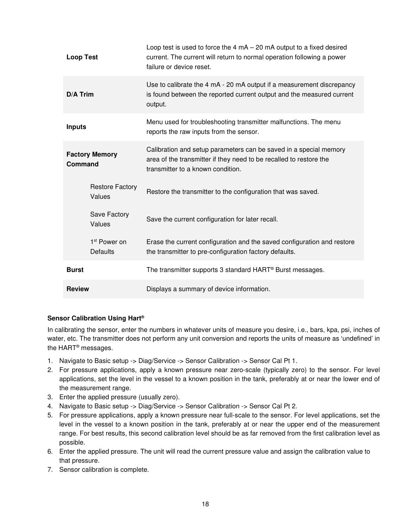| <b>Loop Test</b>                 |                                             | Loop test is used to force the $4 \text{ mA} - 20 \text{ mA}$ output to a fixed desired<br>current. The current will return to normal operation following a power<br>failure or device reset. |
|----------------------------------|---------------------------------------------|-----------------------------------------------------------------------------------------------------------------------------------------------------------------------------------------------|
| <b>D/A Trim</b>                  |                                             | Use to calibrate the 4 mA - 20 mA output if a measurement discrepancy<br>is found between the reported current output and the measured current<br>output.                                     |
| <b>Inputs</b>                    |                                             | Menu used for troubleshooting transmitter malfunctions. The menu<br>reports the raw inputs from the sensor.                                                                                   |
| <b>Factory Memory</b><br>Command |                                             | Calibration and setup parameters can be saved in a special memory<br>area of the transmitter if they need to be recalled to restore the<br>transmitter to a known condition.                  |
|                                  | <b>Restore Factory</b><br>Values            | Restore the transmitter to the configuration that was saved.                                                                                                                                  |
|                                  | <b>Save Factory</b><br>Values               | Save the current configuration for later recall.                                                                                                                                              |
|                                  | 1 <sup>st</sup> Power on<br><b>Defaults</b> | Erase the current configuration and the saved configuration and restore<br>the transmitter to pre-configuration factory defaults.                                                             |
| <b>Burst</b>                     |                                             | The transmitter supports 3 standard HART <sup>®</sup> Burst messages.                                                                                                                         |
| <b>Review</b>                    |                                             | Displays a summary of device information.                                                                                                                                                     |

# <span id="page-17-0"></span>Sensor Calibration Using Hart®

In calibrating the sensor, enter the numbers in whatever units of measure you desire, i.e., bars, kpa, psi, inches of water, etc. The transmitter does not perform any unit conversion and reports the units of measure as 'undefined' in the HART® messages.

- 1. Navigate to Basic setup -> Diag/Service -> Sensor Calibration -> Sensor Cal Pt 1.
- 2. For pressure applications, apply a known pressure near zero-scale (typically zero) to the sensor. For level applications, set the level in the vessel to a known position in the tank, preferably at or near the lower end of the measurement range.
- 3. Enter the applied pressure (usually zero).
- 4. Navigate to Basic setup -> Diag/Service -> Sensor Calibration -> Sensor Cal Pt 2.
- 5. For pressure applications, apply a known pressure near full-scale to the sensor. For level applications, set the level in the vessel to a known position in the tank, preferably at or near the upper end of the measurement range. For best results, this second calibration level should be as far removed from the first calibration level as possible.
- 6. Enter the applied pressure. The unit will read the current pressure value and assign the calibration value to that pressure.
- 7. Sensor calibration is complete.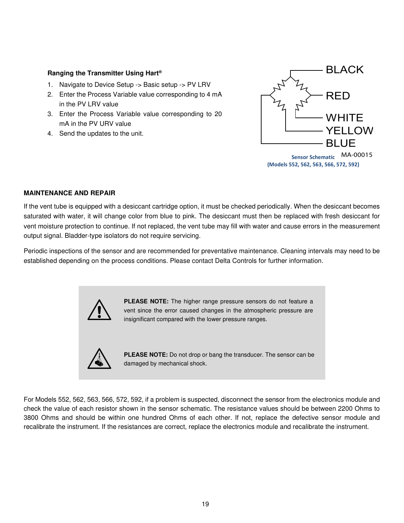#### <span id="page-18-0"></span>Ranging the Transmitter Using Hart®

- 1. Navigate to Device Setup -> Basic setup -> PV LRV
- 2. Enter the Process Variable value corresponding to 4 mA in the PV LRV value
- 3. Enter the Process Variable value corresponding to 20 mA in the PV URV value
- 4. Send the updates to the unit.



#### <span id="page-18-1"></span>MAINTENANCE AND REPAIR

If the vent tube is equipped with a desiccant cartridge option, it must be checked periodically. When the desiccant becomes saturated with water, it will change color from blue to pink. The desiccant must then be replaced with fresh desiccant for vent moisture protection to continue. If not replaced, the vent tube may fill with water and cause errors in the measurement output signal. Bladder-type isolators do not require servicing.

Periodic inspections of the sensor and are recommended for preventative maintenance. Cleaning intervals may need to be established depending on the process conditions. Please contact Delta Controls for further information.



For Models 552, 562, 563, 566, 572, 592, if a problem is suspected, disconnect the sensor from the electronics module and check the value of each resistor shown in the sensor schematic. The resistance values should be between 2200 Ohms to 3800 Ohms and should be within one hundred Ohms of each other. If not, replace the defective sensor module and recalibrate the instrument. If the resistances are correct, replace the electronics module and recalibrate the instrument.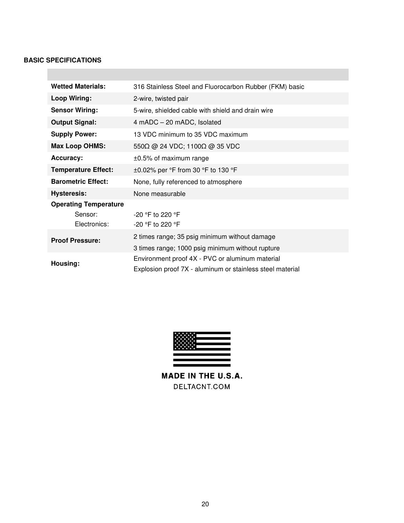#### <span id="page-19-0"></span>BASIC SPECIFICATIONS

| <b>Wetted Materials:</b>                                | 316 Stainless Steel and Fluorocarbon Rubber (FKM) basic                                                      |
|---------------------------------------------------------|--------------------------------------------------------------------------------------------------------------|
| Loop Wiring:                                            | 2-wire, twisted pair                                                                                         |
| <b>Sensor Wiring:</b>                                   | 5-wire, shielded cable with shield and drain wire                                                            |
| <b>Output Signal:</b>                                   | 4 mADC - 20 mADC, Isolated                                                                                   |
| <b>Supply Power:</b>                                    | 13 VDC minimum to 35 VDC maximum                                                                             |
| <b>Max Loop OHMS:</b>                                   | $550\Omega$ @ 24 VDC; 1100 $\Omega$ @ 35 VDC                                                                 |
| <b>Accuracy:</b>                                        | $\pm 0.5\%$ of maximum range                                                                                 |
| <b>Temperature Effect:</b>                              | $\pm 0.02\%$ per $\degree$ F from 30 $\degree$ F to 130 $\degree$ F                                          |
| <b>Barometric Effect:</b>                               | None, fully referenced to atmosphere                                                                         |
| <b>Hysteresis:</b>                                      | None measurable                                                                                              |
| <b>Operating Temperature</b><br>Sensor:<br>Electronics: | $-20$ °F to 220 °F<br>-20 °F to 220 °F                                                                       |
| <b>Proof Pressure:</b>                                  | 2 times range; 35 psig minimum without damage<br>3 times range; 1000 psig minimum without rupture            |
| Housing:                                                | Environment proof 4X - PVC or aluminum material<br>Explosion proof 7X - aluminum or stainless steel material |



MADE IN THE U.S.A. DELTACNT.COM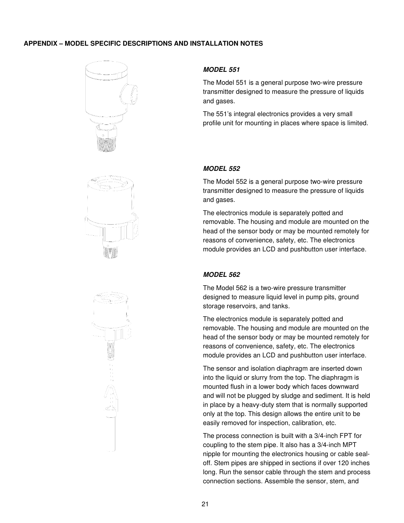#### <span id="page-20-0"></span>APPENDIX – MODEL SPECIFIC DESCRIPTIONS AND INSTALLATION NOTES





<span id="page-20-1"></span>

The Model 551 is a general purpose two-wire pressure transmitter designed to measure the pressure of liquids and gases.

The 551's integral electronics provides a very small profile unit for mounting in places where space is limited.

#### <span id="page-20-2"></span>*MODEL 552*

The Model 552 is a general purpose two-wire pressure transmitter designed to measure the pressure of liquids and gases.

The electronics module is separately potted and removable. The housing and module are mounted on the head of the sensor body or may be mounted remotely for reasons of convenience, safety, etc. The electronics module provides an LCD and pushbutton user interface.

#### <span id="page-20-3"></span>*MODEL 562*

The Model 562 is a two-wire pressure transmitter designed to measure liquid level in pump pits, ground storage reservoirs, and tanks.

The electronics module is separately potted and removable. The housing and module are mounted on the head of the sensor body or may be mounted remotely for reasons of convenience, safety, etc. The electronics module provides an LCD and pushbutton user interface.

The sensor and isolation diaphragm are inserted down into the liquid or slurry from the top. The diaphragm is mounted flush in a lower body which faces downward and will not be plugged by sludge and sediment. It is held in place by a heavy-duty stem that is normally supported only at the top. This design allows the entire unit to be easily removed for inspection, calibration, etc.

The process connection is built with a 3/4-inch FPT for coupling to the stem pipe. It also has a 3/4-inch MPT nipple for mounting the electronics housing or cable sealoff. Stem pipes are shipped in sections if over 120 inches long. Run the sensor cable through the stem and process connection sections. Assemble the sensor, stem, and

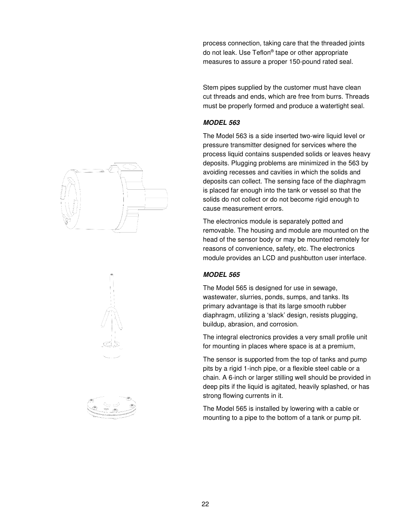process connection, taking care that the threaded joints do not leak. Use Teflon® tape or other appropriate measures to assure a proper 150-pound rated seal.

Stem pipes supplied by the customer must have clean cut threads and ends, which are free from burrs. Threads must be properly formed and produce a watertight seal.

#### <span id="page-21-0"></span>*MODEL 563*

The Model 563 is a side inserted two-wire liquid level or pressure transmitter designed for services where the process liquid contains suspended solids or leaves heavy deposits. Plugging problems are minimized in the 563 by avoiding recesses and cavities in which the solids and deposits can collect. The sensing face of the diaphragm is placed far enough into the tank or vessel so that the solids do not collect or do not become rigid enough to cause measurement errors.

The electronics module is separately potted and removable. The housing and module are mounted on the head of the sensor body or may be mounted remotely for reasons of convenience, safety, etc. The electronics module provides an LCD and pushbutton user interface.

# <span id="page-21-1"></span>*MODEL 565*

The Model 565 is designed for use in sewage, wastewater, slurries, ponds, sumps, and tanks. Its primary advantage is that its large smooth rubber diaphragm, utilizing a 'slack' design, resists plugging, buildup, abrasion, and corrosion.

The integral electronics provides a very small profile unit for mounting in places where space is at a premium,

The sensor is supported from the top of tanks and pump pits by a rigid 1-inch pipe, or a flexible steel cable or a chain. A 6-inch or larger stilling well should be provided in deep pits if the liquid is agitated, heavily splashed, or has strong flowing currents in it.

The Model 565 is installed by lowering with a cable or mounting to a pipe to the bottom of a tank or pump pit.



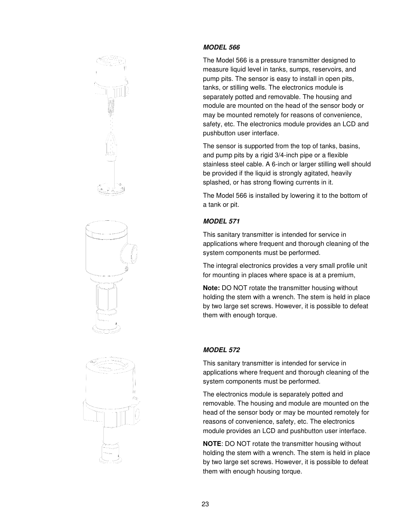





# <span id="page-22-0"></span>*MODEL 566*

The Model 566 is a pressure transmitter designed to measure liquid level in tanks, sumps, reservoirs, and pump pits. The sensor is easy to install in open pits, tanks, or stilling wells. The electronics module is separately potted and removable. The housing and module are mounted on the head of the sensor body or may be mounted remotely for reasons of convenience, safety, etc. The electronics module provides an LCD and pushbutton user interface.

The sensor is supported from the top of tanks, basins, and pump pits by a rigid 3/4-inch pipe or a flexible stainless steel cable. A 6-inch or larger stilling well should be provided if the liquid is strongly agitated, heavily splashed, or has strong flowing currents in it.

The Model 566 is installed by lowering it to the bottom of a tank or pit.

# <span id="page-22-1"></span>*MODEL 571*

This sanitary transmitter is intended for service in applications where frequent and thorough cleaning of the system components must be performed.

The integral electronics provides a very small profile unit for mounting in places where space is at a premium,

Note: DO NOT rotate the transmitter housing without holding the stem with a wrench. The stem is held in place by two large set screws. However, it is possible to defeat them with enough torque.

# <span id="page-22-2"></span>*MODEL 572*

This sanitary transmitter is intended for service in applications where frequent and thorough cleaning of the system components must be performed.

The electronics module is separately potted and removable. The housing and module are mounted on the head of the sensor body or may be mounted remotely for reasons of convenience, safety, etc. The electronics module provides an LCD and pushbutton user interface.

**NOTE:** DO NOT rotate the transmitter housing without holding the stem with a wrench. The stem is held in place by two large set screws. However, it is possible to defeat them with enough housing torque.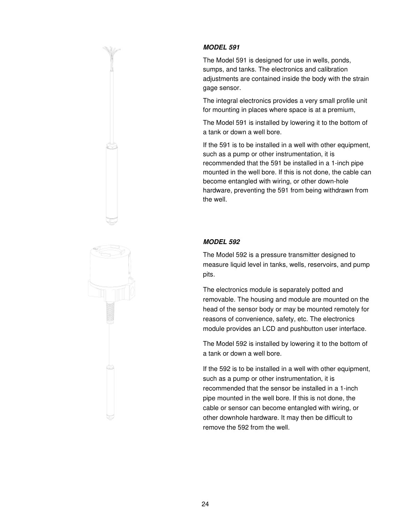

# <span id="page-23-0"></span>*MODEL 591*

The Model 591 is designed for use in wells, ponds, sumps, and tanks. The electronics and calibration adjustments are contained inside the body with the strain gage sensor.

The integral electronics provides a very small profile unit for mounting in places where space is at a premium,

The Model 591 is installed by lowering it to the bottom of a tank or down a well bore.

If the 591 is to be installed in a well with other equipment, such as a pump or other instrumentation, it is recommended that the 591 be installed in a 1-inch pipe mounted in the well bore. If this is not done, the cable can become entangled with wiring, or other down-hole hardware, preventing the 591 from being withdrawn from the well.

# <span id="page-23-1"></span>*MODEL 592*

The Model 592 is a pressure transmitter designed to measure liquid level in tanks, wells, reservoirs, and pump pits.

The electronics module is separately potted and removable. The housing and module are mounted on the head of the sensor body or may be mounted remotely for reasons of convenience, safety, etc. The electronics module provides an LCD and pushbutton user interface.

The Model 592 is installed by lowering it to the bottom of a tank or down a well bore.

If the 592 is to be installed in a well with other equipment, such as a pump or other instrumentation, it is recommended that the sensor be installed in a 1-inch pipe mounted in the well bore. If this is not done, the cable or sensor can become entangled with wiring, or other downhole hardware. It may then be difficult to remove the 592 from the well.